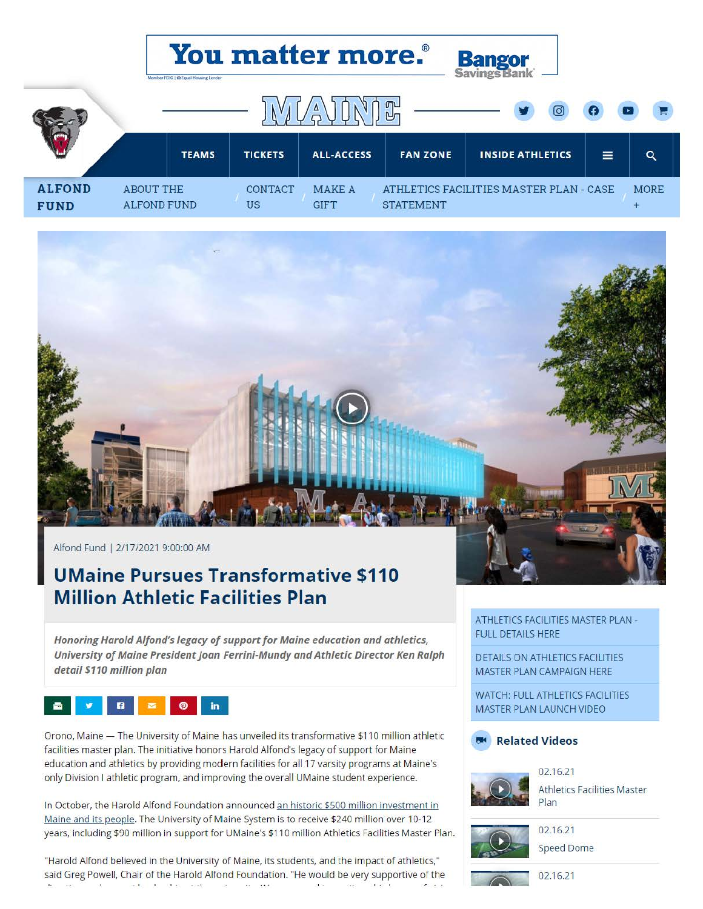|                              | <b>You matter more.°</b><br><b>Bangor</b><br>Savings Bank<br>Momber FDIC   @ Equal Housing Lender |                |                              |                                                             |                         |  |          |                   |
|------------------------------|---------------------------------------------------------------------------------------------------|----------------|------------------------------|-------------------------------------------------------------|-------------------------|--|----------|-------------------|
|                              | 叩<br>Δ                                                                                            |                |                              |                                                             |                         |  |          |                   |
|                              | <b>TEAMS</b>                                                                                      | <b>TICKETS</b> | <b>ALL-ACCESS</b>            | <b>FAN ZONE</b>                                             | <b>INSIDE ATHLETICS</b> |  | $\equiv$ | $\alpha$          |
| <b>ALFOND</b><br><b>FUND</b> | <b>ABOUT THE</b><br><b>ALFOND FUND</b>                                                            |                | <b>MAKE A</b><br><b>GIFT</b> | ATHLETICS FACILITIES MASTER PLAN - CASE<br><b>STATEMENT</b> |                         |  |          | <b>MORE</b><br>÷. |



Alfond Fund | 2/17/2021 9:00:00 AM

## **UMaine Pursues Transformative \$110 Million Athletic Facilities Plan**

*Honoring Harold A/fond's legacy of support for Maine education and athletics,*  University of Maine President Joan Ferrini-Mundy and Athletic Director Ken Ralph *detail \$110 million plan* 



Orono, Maine - The University of Maine has unveiled its transformative \$110 million athletic facilities master plan. The initiative honors Harold Alfond's legacy of support for Maine education and athletics by providing modern facilities for all 17 varsity programs at Maine's only Division I athletic program, and improving the overall UMaine student experience.

In October, the Harold Alfond Foundation announced an historic \$500 million investment in Maine and its people. The University of Maine System is to receive \$240 million over 10-12 years, including \$90 million in support for UMaine's \$110 million Athletics Facilities Master Plan.

"Harold Alfond believed in the University of Maine, its students, and the impact of athletics," said Greg Powell, Chair of the Harold Alfond Foundation. "He would be very supportive of the  $\label{eq:1} \mathcal{L}(\mathbf{X}) = \mathcal{L}(\mathbf{X} - \mathbf{X} \mathbf{X}) + \mathcal{L}(\mathbf{X} - \mathbf{X})$  $\mathbf{z} \in \mathcal{X}$ 

ATHLETICS FACILITIES MASTER PLAN - FULL DETAILS HERE

DETAILS ON ATHLETICS FACILITIES MASTER PLAN CAMPAIGN HERE

WATCH: FULL ATHLETICS FACILITIES MASTER PLAN LAUNCH VIDEO





Athletics Facilities Master Plan



02.16.21 Speed Dome



02.16.21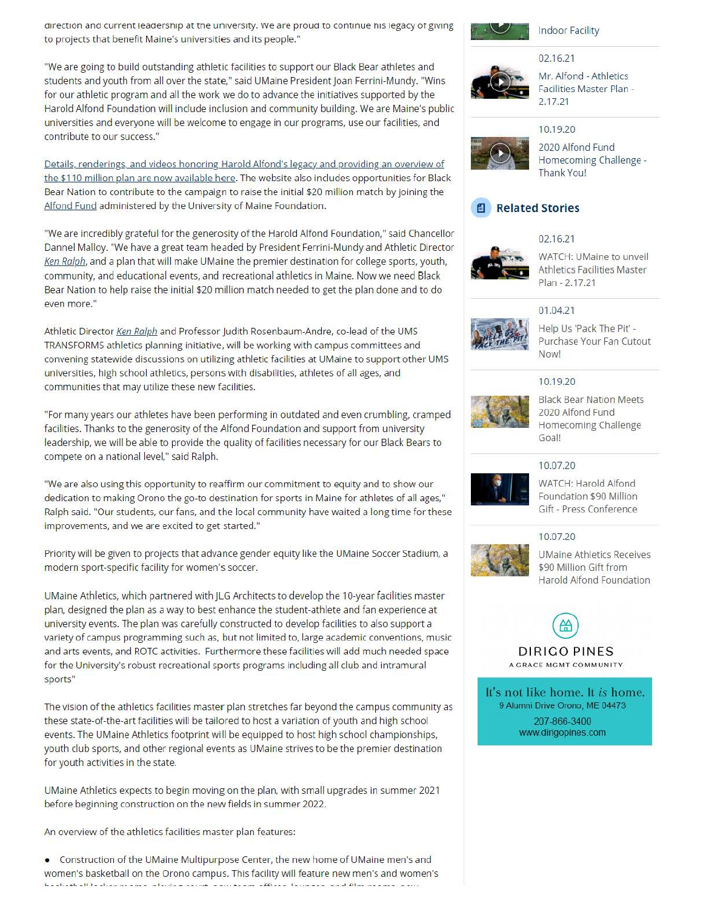direction and current leadership at the university. We are proud to continue his legacy of giving to projects that benefit Maine's universities and its people."

"We are going to build outstanding athletic facilities to support our Black Bear athletes and students and youth from all over the state," said UMaine President Joan Ferrini-Mundy. "Wins for our athletic program and all the work we do to advance the initiatives supported by the Harold Alfond Foundation will include inclusion and community building. We are Maine's public universities and everyone will be welcome to engage in our programs, use our facilities, and contribute to our success."

Details, renderings, and videos honoring Harold Alfond's legacy and providing an overview of the \$110 million plan are now available here. The website also includes opportunities for Black Bear Nation to contribute to the campaign to raise the initial \$20 million match by joining the Alfond Fund administered by the University of Maine Foundation.

"We are incredibly grateful for the generosity of the Harold Alfond Foundation," said Chancellor Dannel Malloy. "We have a great team headed by President Ferrini-Mundy and Athletic Director Ken Ralph, and a plan that will make UMaine the premier destination for college sports, youth, community, and educational events, and recreational athletics in Maine. Now we need Black Bear Nation to help raise the initial \$20 million match needed to get the plan done and to do even more."

Athletic Director Ken Ralph and Professor Judith Rosenbaum-Andre, co-lead of the UMS TRANSFORMS athletics planning initiative, will be working with campus committees and convening statewide discussions on utilizing athletic facilities at UMaine to support other UMS universities, high school athletics, persons with disabilities, athletes of all ages, and communities that may utilize these new facilities.

"For many years our athletes have been performing in outdated and even crumbling, cramped facilities. Thanks to the generosity of the Alfond Foundation and support from university leadership, we will be able to provide the quality of facilities necessary for our Black Bears to compete on a national level," said Ralph.

"We are also using this opportunity to reaffirm our commitment to equity and to show our dedication to making Orono the go-to destination for sports in Maine for athletes of all ages," Ralph said. "Our students, our fans, and the local community have waited a long time for these improvements, and we are excited to get started."

Priority will be given to projects that advance gender equity like the UMaine Soccer Stadium, a modern sport-specific facility for women's soccer.

UMaine Athletics, which partnered with JLG Architects to develop the 10-year facilities master plan, designed the plan as a way to best enhance the student-athlete and fan experience at university events. The plan was carefully constructed to develop facilities to also support a variety of campus programming such as, but not limited to, large academic conventions, music and arts events, and ROTC activities. Furthermore these facilities will add much needed space for the University's robust recreational sports programs including all club and intramural sports"

The vision of the athletics facilities master plan stretches far beyond the campus community as these state-of-the-art facilities will be tailored to host a variation of youth and high school events. The UMaine Athletics footprint will be equipped to host high school championships, youth club sports, and other regional events as UMaine strives to be the premier destination for youth activities in the state.

UMaine Athletics expects to begin moving on the plan, with small upgrades in summer 2021 before beginning construction on the new fields in summer 2022.

An overview of the athletics facilities master plan features:

• Construction of the UMaine Multipurpose Center, the new home of UMaine men's and women's basketball on the Orono campus. This facility will feature new men's and women's les d'étailles III en l'expressionnel de l'actionnel accorde de contrarent d'Albert La conserve par d'Albert de



Indoor Facility

#### 02.16.21



Mr. Alfond - Athletics Facilities Master Plan - 2.17.21

#### 10.19.20



2020 Alfond Fund Homecoming Challenge - Thank You!



#### 02.16.21



WATCH: UMaine to unveil Athletics Facilities Master Plan - 2.17.21

#### 01.04.21



Help Us 'Pack The Pit' - Purchase Your Fan Cutout Now!

#### 10.19.20



Black Bear Nation Meets 2020 Alfond Fund Homecoming Challenge Goal!

### 10.07.20



WATCH: Harold Alfond Foundation \$90 Million Gift - Press Conference

10.07.20



UMaine Athletics Receives \$90 Million Gift from Harold Alfond Foundation

# **AD**

DIRIGO PINES<br>A GRACE MGMT COMMUNITY

It's not like home. It *is* home. 9 Alumni Drive Orono, ME 04473 207-866-3400 www.dirigopines.com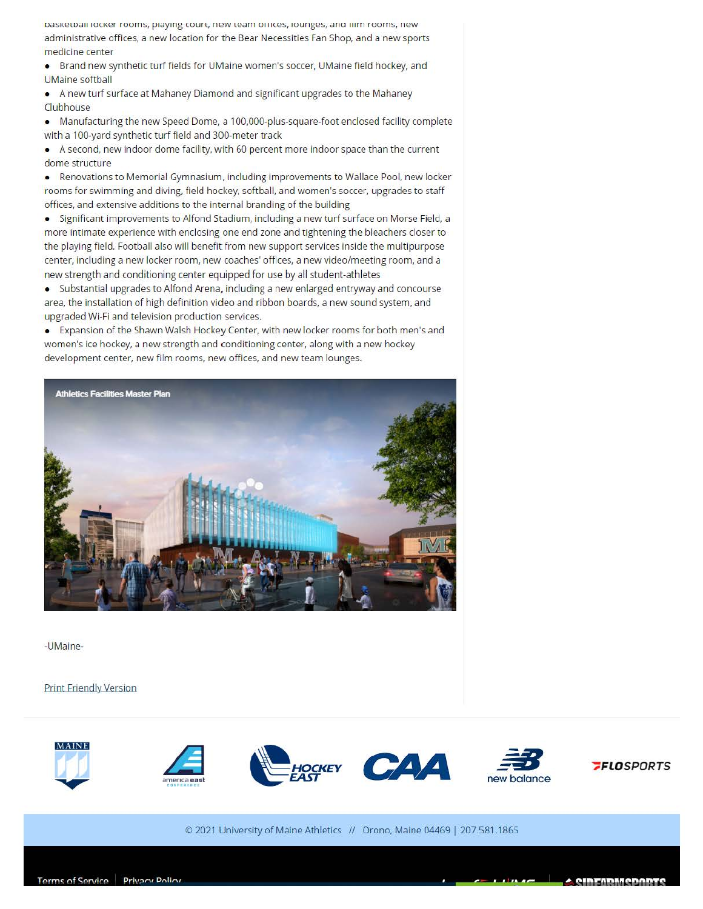Dasketball locker rooms, playing court, new team onlices, lounges, and illm rooms, new administrative offices, a new location for the Bear Necessities Fan Shop, and a new sports medicine center

• Brand new synthetic turf fields for UMaine women's soccer, UMaine field hockey, and UMaine softball

• A new turf surface at Mahaney Diamond and significant upgrades to the Mahaney **Clubhouse** 

• Manufacturing the new Speed Dome, a 100,000-plus-square-foot enclosed facility complete with a 100-yard synthetic turf field and 300-meter track

• A second, new indoor dome facility, with 60 percent more indoor space than the current dome structure

• Renovations to Memorial Gymnasium, including improvements to Wallace Pool, new locker rooms for swimming and diving, field hockey, softball, and women's soccer, upgrades to staff offices, and extensive additions to the internal branding of the building

• Significant improvements to Alfond Stadium, including a new turf surface on Morse Field, a more intimate experience with enclosing one end zone and tightening the bleachers closer to the playing field. Football also will benefit from new support services inside the multipurpose center, including a new locker room, new coaches' offices, a new video/meeting room, and a new strength and conditioning center equipped for use by all student-athletes

• Substantial upgrades to Alfond Arena. including a new enlarged entryway and concourse area, the installation of high definition video and ribbon boards, a new sound system, and upgraded Wi-Fi and television production services.

• Expansion of the Shawn Walsh Hockey Center, with new locker rooms for both men's and women's ice hockey, a new strength and conditioning center, along with a new hockey development center, new film rooms, new offices, and new team lounges.



-UMaine-

**Print Friendly Version** 



© 2021 University of Maine Athletics // Orono, Maine 04469 I 207.581.1865 **C** 2021 University of Maine Athletics // Orono, Maine 04469 | 207.581.1865<br> **Terms of Service** Privacy Policy